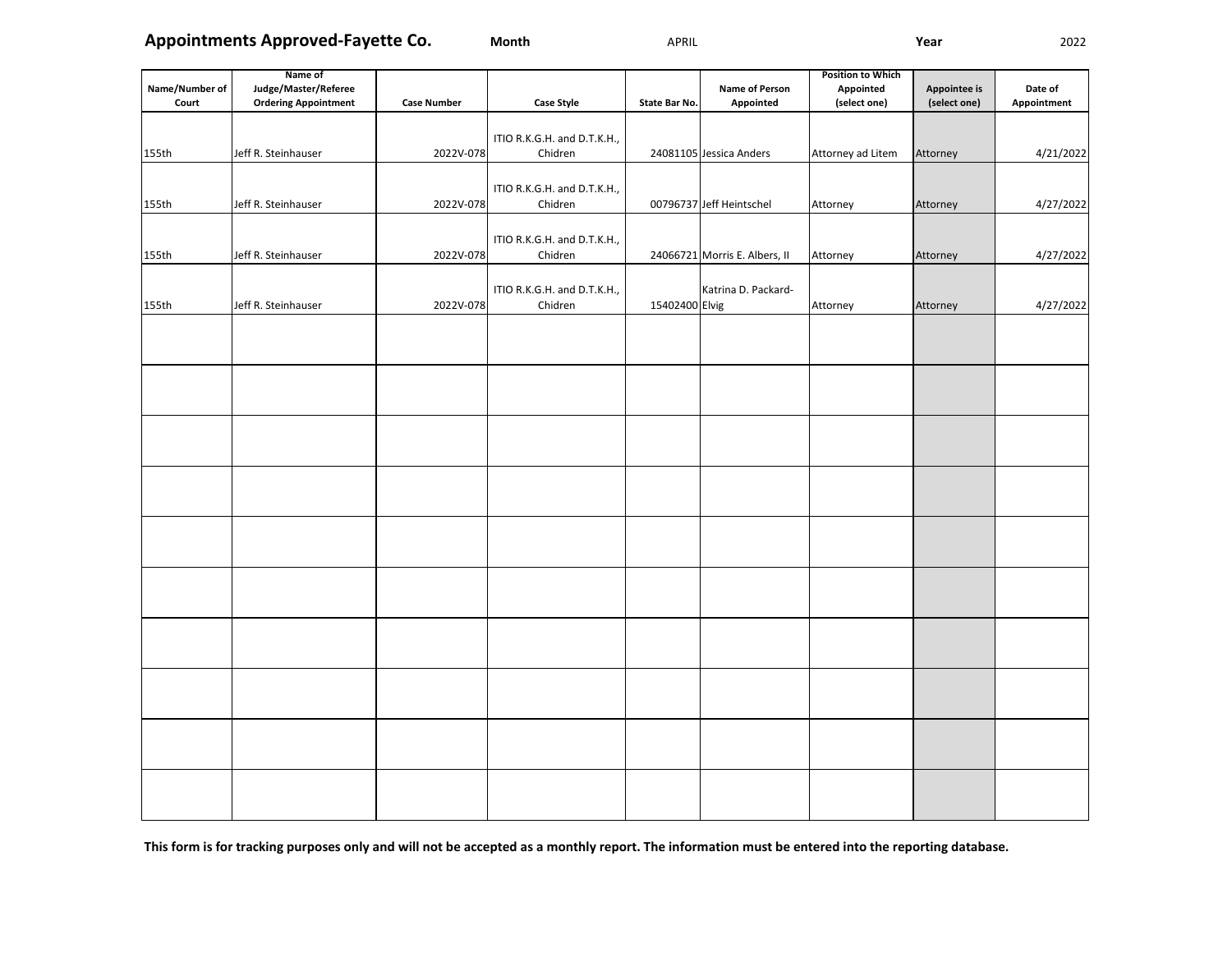**Appointments Approved-Fayette Co.**

**Month** APRIL **Year** 2022

|                | Name of                     |                    |                             |                |                               | <b>Position to Which</b> |              |             |
|----------------|-----------------------------|--------------------|-----------------------------|----------------|-------------------------------|--------------------------|--------------|-------------|
| Name/Number of | Judge/Master/Referee        |                    |                             |                | <b>Name of Person</b>         | Appointed                | Appointee is | Date of     |
| Court          | <b>Ordering Appointment</b> | <b>Case Number</b> | <b>Case Style</b>           | State Bar No.  | Appointed                     | (select one)             | (select one) | Appointment |
|                |                             |                    |                             |                |                               |                          |              |             |
|                |                             |                    | ITIO R.K.G.H. and D.T.K.H., |                |                               |                          |              |             |
| 155th          | Jeff R. Steinhauser         | 2022V-078          | Chidren                     |                | 24081105 Jessica Anders       | Attorney ad Litem        | Attorney     | 4/21/2022   |
|                |                             |                    |                             |                |                               |                          |              |             |
|                |                             |                    | ITIO R.K.G.H. and D.T.K.H., |                |                               |                          |              |             |
| 155th          | Jeff R. Steinhauser         | 2022V-078          | Chidren                     |                | 00796737 Jeff Heintschel      | Attorney                 | Attorney     | 4/27/2022   |
|                |                             |                    |                             |                |                               |                          |              |             |
|                |                             |                    | ITIO R.K.G.H. and D.T.K.H., |                |                               |                          |              |             |
| 155th          | Jeff R. Steinhauser         | 2022V-078          | Chidren                     |                | 24066721 Morris E. Albers, II | Attorney                 | Attorney     | 4/27/2022   |
|                |                             |                    |                             |                |                               |                          |              |             |
|                |                             |                    | ITIO R.K.G.H. and D.T.K.H., |                | Katrina D. Packard-           |                          |              |             |
| 155th          | Jeff R. Steinhauser         | 2022V-078          | Chidren                     | 15402400 Elvig |                               | Attorney                 | Attorney     | 4/27/2022   |
|                |                             |                    |                             |                |                               |                          |              |             |
|                |                             |                    |                             |                |                               |                          |              |             |
|                |                             |                    |                             |                |                               |                          |              |             |
|                |                             |                    |                             |                |                               |                          |              |             |
|                |                             |                    |                             |                |                               |                          |              |             |
|                |                             |                    |                             |                |                               |                          |              |             |
|                |                             |                    |                             |                |                               |                          |              |             |
|                |                             |                    |                             |                |                               |                          |              |             |
|                |                             |                    |                             |                |                               |                          |              |             |
|                |                             |                    |                             |                |                               |                          |              |             |
|                |                             |                    |                             |                |                               |                          |              |             |
|                |                             |                    |                             |                |                               |                          |              |             |
|                |                             |                    |                             |                |                               |                          |              |             |
|                |                             |                    |                             |                |                               |                          |              |             |
|                |                             |                    |                             |                |                               |                          |              |             |
|                |                             |                    |                             |                |                               |                          |              |             |
|                |                             |                    |                             |                |                               |                          |              |             |
|                |                             |                    |                             |                |                               |                          |              |             |
|                |                             |                    |                             |                |                               |                          |              |             |
|                |                             |                    |                             |                |                               |                          |              |             |
|                |                             |                    |                             |                |                               |                          |              |             |
|                |                             |                    |                             |                |                               |                          |              |             |
|                |                             |                    |                             |                |                               |                          |              |             |
|                |                             |                    |                             |                |                               |                          |              |             |
|                |                             |                    |                             |                |                               |                          |              |             |
|                |                             |                    |                             |                |                               |                          |              |             |
|                |                             |                    |                             |                |                               |                          |              |             |
|                |                             |                    |                             |                |                               |                          |              |             |
|                |                             |                    |                             |                |                               |                          |              |             |
|                |                             |                    |                             |                |                               |                          |              |             |
|                |                             |                    |                             |                |                               |                          |              |             |
|                |                             |                    |                             |                |                               |                          |              |             |

**This form is for tracking purposes only and will not be accepted as a monthly report. The information must be entered into the reporting database.**